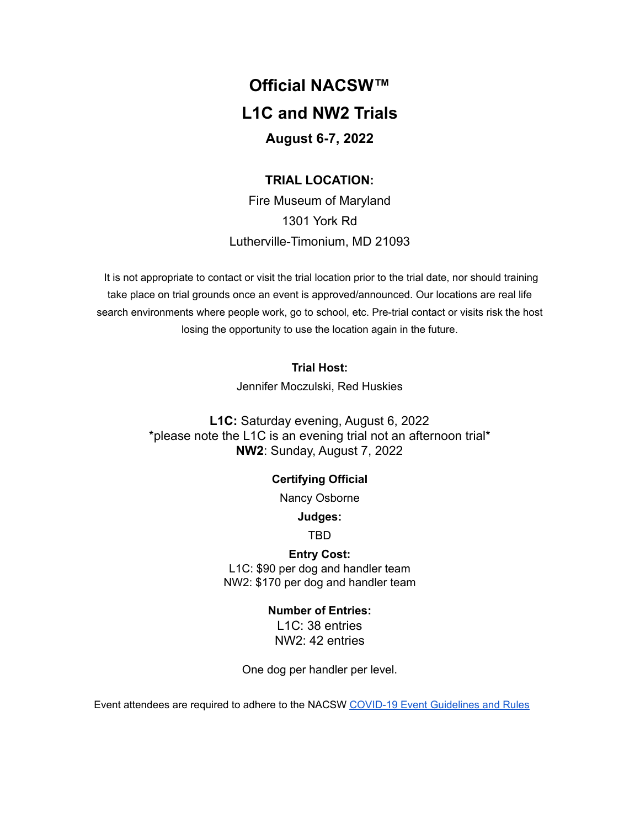# **Official NACSW™ L1C and NW2 Trials August 6-7, 2022**

# **TRIAL LOCATION:**

Fire Museum of Maryland 1301 York Rd Lutherville-Timonium, MD 21093

It is not appropriate to contact or visit the trial location prior to the trial date, nor should training take place on trial grounds once an event is approved/announced. Our locations are real life search environments where people work, go to school, etc. Pre-trial contact or visits risk the host losing the opportunity to use the location again in the future.

# **Trial Host:**

Jennifer Moczulski, Red Huskies

**L1C:** Saturday evening, August 6, 2022 \*please note the L1C is an evening trial not an afternoon trial\* **NW2**: Sunday, August 7, 2022

# **Certifying Official**

Nancy Osborne

# **Judges:**

TBD

# **Entry Cost:**

L1C: \$90 per dog and handler team NW2: \$170 per dog and handler team

# **Number of Entries:**

L1C: 38 entries NW2: 42 entries

One dog per handler per level.

Event attendees are required to adhere to the NACSW COVID-19 Event [Guidelines](https://drive.google.com/open?id=1pMMICXeMDJV2iFxAFOuPAMXEBoRmaik0qzSE4tiZuSI) and Rules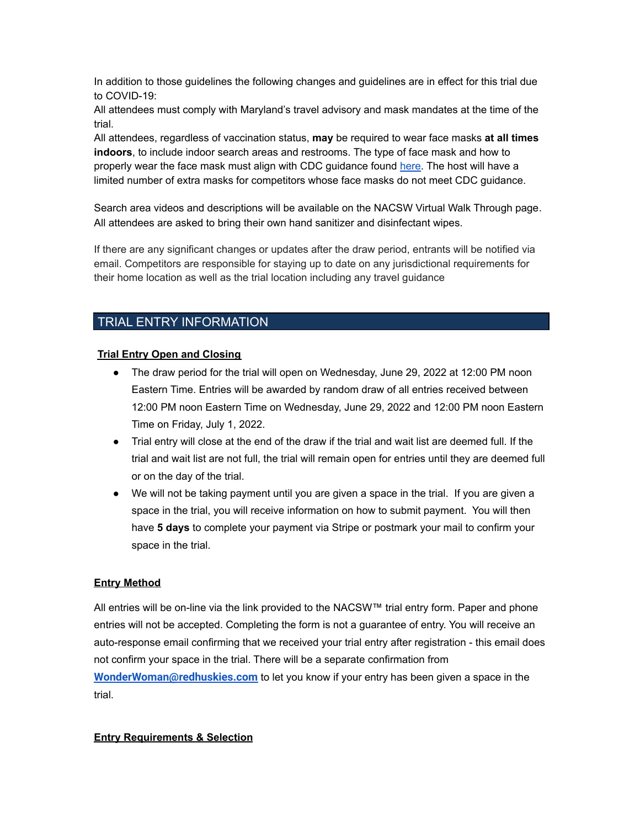In addition to those guidelines the following changes and guidelines are in effect for this trial due to COVID-19:

All attendees must comply with Maryland's travel advisory and mask mandates at the time of the trial.

All attendees, regardless of vaccination status, **may** be required to wear face masks **at all times indoors**, to include indoor search areas and restrooms. The type of face mask and how to properly wear the face mask must align with CDC guidance found [here.](https://www.cdc.gov/coronavirus/2019-ncov/prevent-getting-sick/about-face-coverings.html) The host will have a limited number of extra masks for competitors whose face masks do not meet CDC guidance.

Search area videos and descriptions will be available on the NACSW Virtual Walk Through page. All attendees are asked to bring their own hand sanitizer and disinfectant wipes.

If there are any significant changes or updates after the draw period, entrants will be notified via email. Competitors are responsible for staying up to date on any jurisdictional requirements for their home location as well as the trial location including any travel guidance

# TRIAL ENTRY INFORMATION

## **Trial Entry Open and Closing**

- The draw period for the trial will open on Wednesday, June 29, 2022 at 12:00 PM noon Eastern Time. Entries will be awarded by random draw of all entries received between 12:00 PM noon Eastern Time on Wednesday, June 29, 2022 and 12:00 PM noon Eastern Time on Friday, July 1, 2022.
- Trial entry will close at the end of the draw if the trial and wait list are deemed full. If the trial and wait list are not full, the trial will remain open for entries until they are deemed full or on the day of the trial.
- We will not be taking payment until you are given a space in the trial. If you are given a space in the trial, you will receive information on how to submit payment. You will then have **5 days** to complete your payment via Stripe or postmark your mail to confirm your space in the trial.

#### **Entry Method**

All entries will be on-line via the link provided to the NACSW™ trial entry form. Paper and phone entries will not be accepted. Completing the form is not a guarantee of entry. You will receive an auto-response email confirming that we received your trial entry after registration - this email does not confirm your space in the trial. There will be a separate confirmation from **[WonderWoman@redhuskies.com](mailto:WonderWoman@redhuskies.com)** to let you know if your entry has been given a space in the trial.

#### **Entry Requirements & Selection**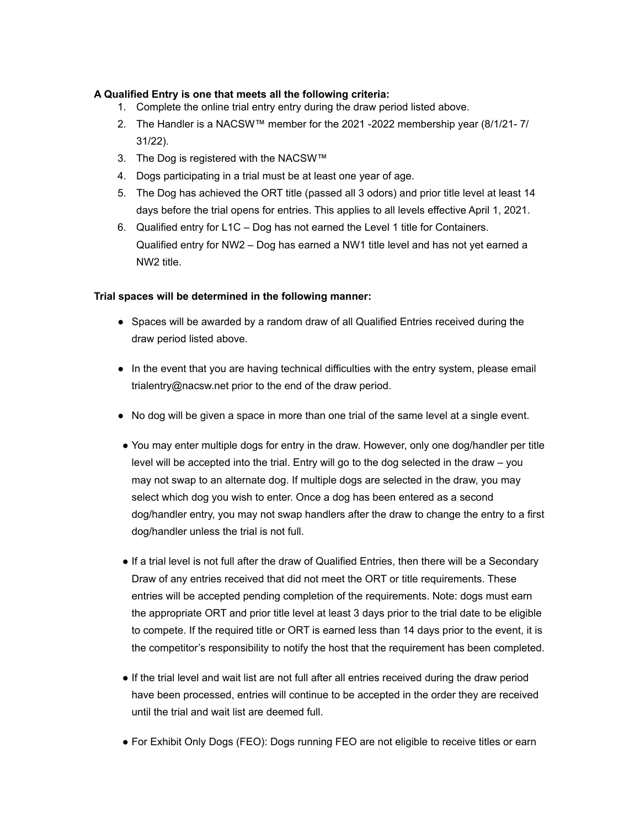# **A Qualified Entry is one that meets all the following criteria:**

- 1. Complete the online trial entry entry during the draw period listed above.
- 2. The Handler is a NACSW™ member for the 2021 -2022 membership year (8/1/21- 7/ 31/22).
- 3. The Dog is registered with the NACSW™
- 4. Dogs participating in a trial must be at least one year of age.
- 5. The Dog has achieved the ORT title (passed all 3 odors) and prior title level at least 14 days before the trial opens for entries. This applies to all levels effective April 1, 2021.
- 6. Qualified entry for L1C Dog has not earned the Level 1 title for Containers. Qualified entry for NW2 – Dog has earned a NW1 title level and has not yet earned a NW2 title.

# **Trial spaces will be determined in the following manner:**

- Spaces will be awarded by a random draw of all Qualified Entries received during the draw period listed above.
- In the event that you are having technical difficulties with the entry system, please email [trialentry@nacsw.net](mailto:trialentry@nacsw.net) prior to the end of the draw period.
- No dog will be given a space in more than one trial of the same level at a single event.
- You may enter multiple dogs for entry in the draw. However, only one dog/handler per title level will be accepted into the trial. Entry will go to the dog selected in the draw – you may not swap to an alternate dog. If multiple dogs are selected in the draw, you may select which dog you wish to enter. Once a dog has been entered as a second dog/handler entry, you may not swap handlers after the draw to change the entry to a first dog/handler unless the trial is not full.
- If a trial level is not full after the draw of Qualified Entries, then there will be a Secondary Draw of any entries received that did not meet the ORT or title requirements. These entries will be accepted pending completion of the requirements. Note: dogs must earn the appropriate ORT and prior title level at least 3 days prior to the trial date to be eligible to compete. If the required title or ORT is earned less than 14 days prior to the event, it is the competitor's responsibility to notify the host that the requirement has been completed.
- If the trial level and wait list are not full after all entries received during the draw period have been processed, entries will continue to be accepted in the order they are received until the trial and wait list are deemed full.
- For Exhibit Only Dogs (FEO): Dogs running FEO are not eligible to receive titles or earn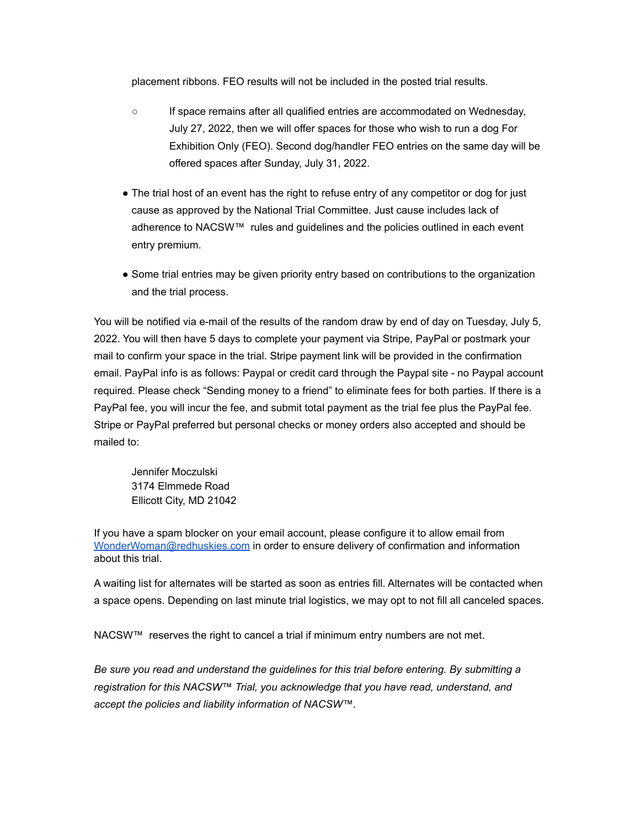placement ribbons. FEO results will not be included in the posted trial results.

- If space remains after all qualified entries are accommodated on Wednesday, July 27, 2022, then we will offer spaces for those who wish to run a dog For Exhibition Only (FEO). Second dog/handler FEO entries on the same day will be offered spaces after Sunday, July 31, 2022.
- The trial host of an event has the right to refuse entry of any competitor or dog for just cause as approved by the National Trial Committee. Just cause includes lack of adherence to NACSW™ rules and guidelines and the policies outlined in each event entry premium.
- Some trial entries may be given priority entry based on contributions to the organization and the trial process.

You will be notified via e-mail of the results of the random draw by end of day on Tuesday, July 5, 2022. You will then have 5 days to complete your payment via Stripe, PayPal or postmark your mail to confirm your space in the trial. Stripe payment link will be provided in the confirmation email. PayPal info is as follows: Paypal or credit card through the Paypal site - no Paypal account required. Please check "Sending money to a friend" to eliminate fees for both parties. If there is a PayPal fee, you will incur the fee, and submit total payment as the trial fee plus the PayPal fee. Stripe or PayPal preferred but personal checks or money orders also accepted and should be mailed to:

Jennifer Moczulski 3174 Elmmede Road Ellicott City, MD 21042

If you have a spam blocker on your email account, please configure it to allow email from [WonderWoman@redhuskies.com](mailto:WonderWoman@redhuskies.com) in order to ensure delivery of confirmation and information about this trial.

A waiting list for alternates will be started as soon as entries fill. Alternates will be contacted when a space opens. Depending on last minute trial logistics, we may opt to not fill all canceled spaces.

NACSW™ reserves the right to cancel a trial if minimum entry numbers are not met.

*Be sure you read and understand the guidelines for this trial before entering. By submitting a registration for this NACSW™ Trial, you acknowledge that you have read, understand, and accept the policies and liability information of NACSW™.*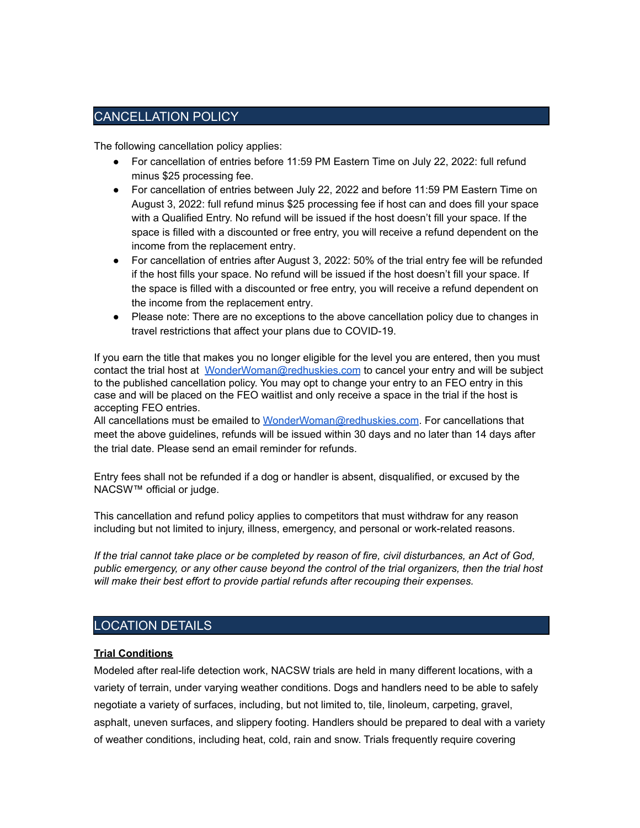# CANCELLATION POLICY

The following cancellation policy applies:

- For cancellation of entries before 11:59 PM Eastern Time on July 22, 2022: full refund minus \$25 processing fee.
- For cancellation of entries between July 22, 2022 and before 11:59 PM Eastern Time on August 3, 2022: full refund minus \$25 processing fee if host can and does fill your space with a Qualified Entry. No refund will be issued if the host doesn't fill your space. If the space is filled with a discounted or free entry, you will receive a refund dependent on the income from the replacement entry.
- For cancellation of entries after August 3, 2022: 50% of the trial entry fee will be refunded if the host fills your space. No refund will be issued if the host doesn't fill your space. If the space is filled with a discounted or free entry, you will receive a refund dependent on the income from the replacement entry.
- Please note: There are no exceptions to the above cancellation policy due to changes in travel restrictions that affect your plans due to COVID-19.

If you earn the title that makes you no longer eligible for the level you are entered, then you must contact the trial host at [WonderWoman@redhuskies.com](mailto:WonderWoman@redhuskies.com) to cancel your entry and will be subject to the published cancellation policy. You may opt to change your entry to an FEO entry in this case and will be placed on the FEO waitlist and only receive a space in the trial if the host is accepting FEO entries.

All cancellations must be emailed to [WonderWoman@redhuskies.com.](mailto:WonderWoman@redhuskies.com) For cancellations that meet the above guidelines, refunds will be issued within 30 days and no later than 14 days after the trial date. Please send an email reminder for refunds.

Entry fees shall not be refunded if a dog or handler is absent, disqualified, or excused by the NACSW™ official or judge.

This cancellation and refund policy applies to competitors that must withdraw for any reason including but not limited to injury, illness, emergency, and personal or work-related reasons.

If the trial cannot take place or be completed by reason of fire, civil disturbances, an Act of God, *public emergency, or any other cause beyond the control of the trial organizers, then the trial host will make their best effort to provide partial refunds after recouping their expenses.*

# LOCATION DETAILS

## **Trial Conditions**

Modeled after real-life detection work, NACSW trials are held in many different locations, with a variety of terrain, under varying weather conditions. Dogs and handlers need to be able to safely negotiate a variety of surfaces, including, but not limited to, tile, linoleum, carpeting, gravel, asphalt, uneven surfaces, and slippery footing. Handlers should be prepared to deal with a variety of weather conditions, including heat, cold, rain and snow. Trials frequently require covering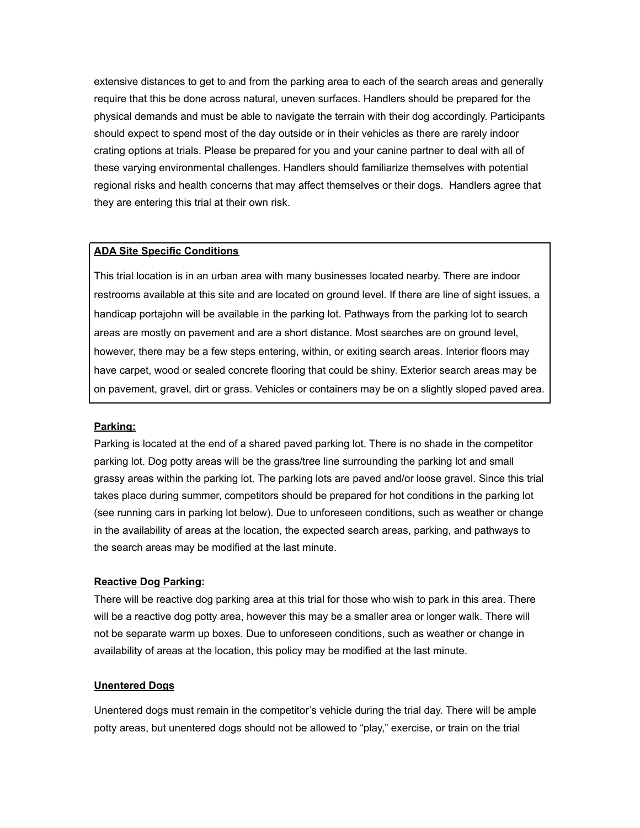extensive distances to get to and from the parking area to each of the search areas and generally require that this be done across natural, uneven surfaces. Handlers should be prepared for the physical demands and must be able to navigate the terrain with their dog accordingly. Participants should expect to spend most of the day outside or in their vehicles as there are rarely indoor crating options at trials. Please be prepared for you and your canine partner to deal with all of these varying environmental challenges. Handlers should familiarize themselves with potential regional risks and health concerns that may affect themselves or their dogs. Handlers agree that they are entering this trial at their own risk.

#### **ADA Site Specific Conditions**

This trial location is in an urban area with many businesses located nearby. There are indoor restrooms available at this site and are located on ground level. If there are line of sight issues, a handicap portajohn will be available in the parking lot. Pathways from the parking lot to search areas are mostly on pavement and are a short distance. Most searches are on ground level, however, there may be a few steps entering, within, or exiting search areas. Interior floors may have carpet, wood or sealed concrete flooring that could be shiny. Exterior search areas may be on pavement, gravel, dirt or grass. Vehicles or containers may be on a slightly sloped paved area.

#### **Parking:**

Parking is located at the end of a shared paved parking lot. There is no shade in the competitor parking lot. Dog potty areas will be the grass/tree line surrounding the parking lot and small grassy areas within the parking lot. The parking lots are paved and/or loose gravel. Since this trial takes place during summer, competitors should be prepared for hot conditions in the parking lot (see running cars in parking lot below). Due to unforeseen conditions, such as weather or change in the availability of areas at the location, the expected search areas, parking, and pathways to the search areas may be modified at the last minute.

## **Reactive Dog Parking:**

There will be reactive dog parking area at this trial for those who wish to park in this area. There will be a reactive dog potty area, however this may be a smaller area or longer walk. There will not be separate warm up boxes. Due to unforeseen conditions, such as weather or change in availability of areas at the location, this policy may be modified at the last minute.

#### **Unentered Dogs**

Unentered dogs must remain in the competitor's vehicle during the trial day. There will be ample potty areas, but unentered dogs should not be allowed to "play," exercise, or train on the trial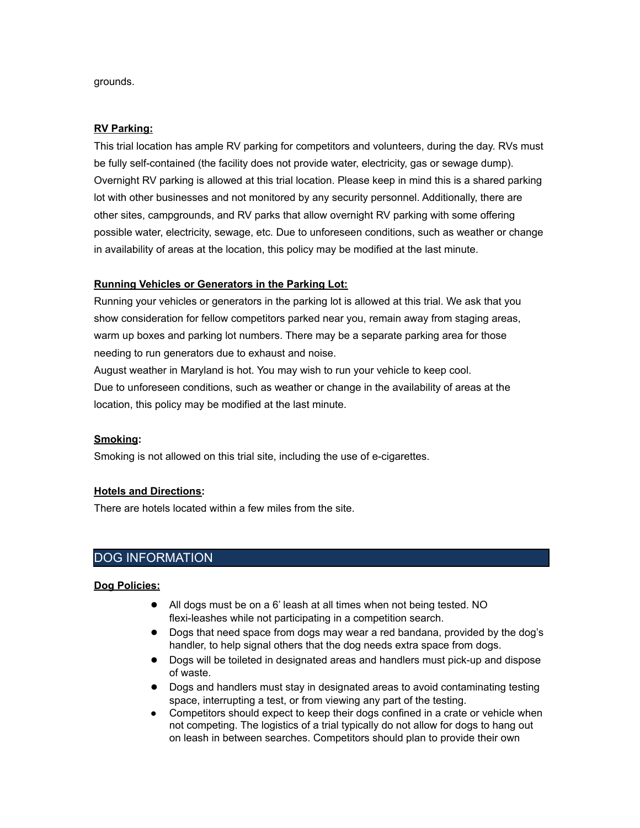grounds.

#### **RV Parking:**

This trial location has ample RV parking for competitors and volunteers, during the day. RVs must be fully self-contained (the facility does not provide water, electricity, gas or sewage dump). Overnight RV parking is allowed at this trial location. Please keep in mind this is a shared parking lot with other businesses and not monitored by any security personnel. Additionally, there are other sites, campgrounds, and RV parks that allow overnight RV parking with some offering possible water, electricity, sewage, etc. Due to unforeseen conditions, such as weather or change in availability of areas at the location, this policy may be modified at the last minute.

## **Running Vehicles or Generators in the Parking Lot:**

Running your vehicles or generators in the parking lot is allowed at this trial. We ask that you show consideration for fellow competitors parked near you, remain away from staging areas, warm up boxes and parking lot numbers. There may be a separate parking area for those needing to run generators due to exhaust and noise.

August weather in Maryland is hot. You may wish to run your vehicle to keep cool.

Due to unforeseen conditions, such as weather or change in the availability of areas at the location, this policy may be modified at the last minute.

#### **Smoking:**

Smoking is not allowed on this trial site, including the use of e-cigarettes.

#### **Hotels and Directions:**

There are hotels located within a few miles from the site.

# DOG INFORMATION

#### **Dog Policies:**

- All dogs must be on a 6' leash at all times when not being tested. NO flexi-leashes while not participating in a competition search.
- Dogs that need space from dogs may wear a red bandana, provided by the dog's handler, to help signal others that the dog needs extra space from dogs.
- Dogs will be toileted in designated areas and handlers must pick-up and dispose of waste.
- Dogs and handlers must stay in designated areas to avoid contaminating testing space, interrupting a test, or from viewing any part of the testing.
- Competitors should expect to keep their dogs confined in a crate or vehicle when not competing. The logistics of a trial typically do not allow for dogs to hang out on leash in between searches. Competitors should plan to provide their own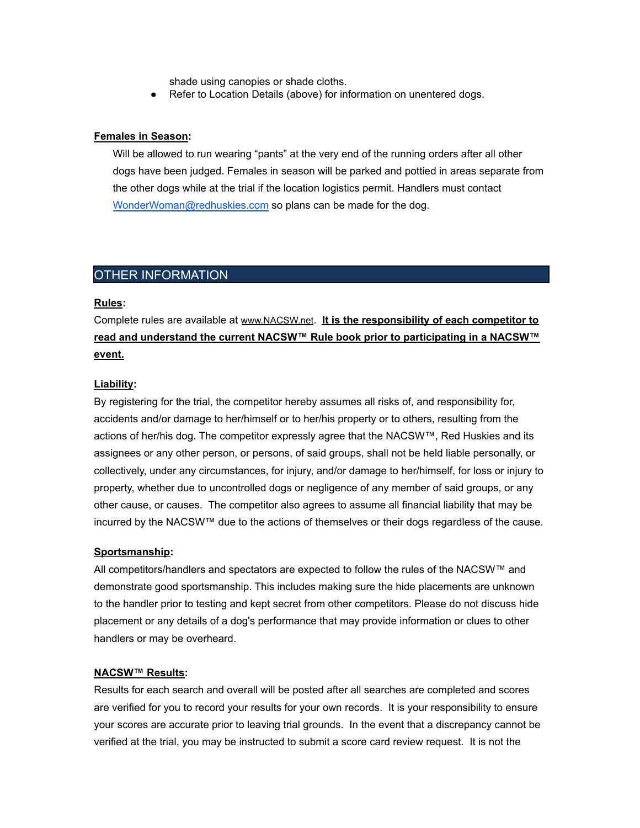shade using canopies or shade cloths.

● Refer to Location Details (above) for information on unentered dogs.

#### **Females in Season:**

Will be allowed to run wearing "pants" at the very end of the running orders after all other dogs have been judged. Females in season will be parked and pottied in areas separate from the other dogs while at the trial if the location logistics permit. Handlers must contact [WonderWoman@redhuskies.com](mailto:WonderWoman@redhuskies.com) so plans can be made for the dog.

# OTHER INFORMATION

#### **Rules:**

Complete rules are available at [www.NACSW.net](http://www.nacsw.net). **It is the responsibility of each competitor to read and understand the current NACSW™ Rule book prior to participating in a NACSW™ event.**

#### **Liability:**

By registering for the trial, the competitor hereby assumes all risks of, and responsibility for, accidents and/or damage to her/himself or to her/his property or to others, resulting from the actions of her/his dog. The competitor expressly agree that the NACSW™, Red Huskies and its assignees or any other person, or persons, of said groups, shall not be held liable personally, or collectively, under any circumstances, for injury, and/or damage to her/himself, for loss or injury to property, whether due to uncontrolled dogs or negligence of any member of said groups, or any other cause, or causes. The competitor also agrees to assume all financial liability that may be incurred by the NACSW™ due to the actions of themselves or their dogs regardless of the cause.

#### **Sportsmanship:**

All competitors/handlers and spectators are expected to follow the rules of the NACSW™ and demonstrate good sportsmanship. This includes making sure the hide placements are unknown to the handler prior to testing and kept secret from other competitors. Please do not discuss hide placement or any details of a dog's performance that may provide information or clues to other handlers or may be overheard.

#### **NACSW™ Results:**

Results for each search and overall will be posted after all searches are completed and scores are verified for you to record your results for your own records. It is your responsibility to ensure your scores are accurate prior to leaving trial grounds. In the event that a discrepancy cannot be verified at the trial, you may be instructed to submit a score card review request. It is not the